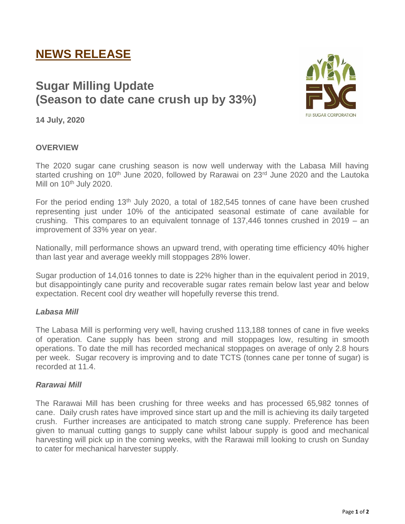# **NEWS RELEASE**

# **Sugar Milling Update (Season to date cane crush up by 33%)**



**14 July, 2020**

## **OVERVIEW**

The 2020 sugar cane crushing season is now well underway with the Labasa Mill having started crushing on 10<sup>th</sup> June 2020, followed by Rarawai on 23<sup>rd</sup> June 2020 and the Lautoka Mill on  $10^{th}$  July 2020.

For the period ending 13<sup>th</sup> July 2020, a total of 182,545 tonnes of cane have been crushed representing just under 10% of the anticipated seasonal estimate of cane available for crushing. This compares to an equivalent tonnage of 137,446 tonnes crushed in 2019 – an improvement of 33% year on year.

Nationally, mill performance shows an upward trend, with operating time efficiency 40% higher than last year and average weekly mill stoppages 28% lower.

Sugar production of 14,016 tonnes to date is 22% higher than in the equivalent period in 2019, but disappointingly cane purity and recoverable sugar rates remain below last year and below expectation. Recent cool dry weather will hopefully reverse this trend.

#### *Labasa Mill*

The Labasa Mill is performing very well, having crushed 113,188 tonnes of cane in five weeks of operation. Cane supply has been strong and mill stoppages low, resulting in smooth operations. To date the mill has recorded mechanical stoppages on average of only 2.8 hours per week. Sugar recovery is improving and to date TCTS (tonnes cane per tonne of sugar) is recorded at 11.4.

#### *Rarawai Mill*

The Rarawai Mill has been crushing for three weeks and has processed 65,982 tonnes of cane. Daily crush rates have improved since start up and the mill is achieving its daily targeted crush. Further increases are anticipated to match strong cane supply. Preference has been given to manual cutting gangs to supply cane whilst labour supply is good and mechanical harvesting will pick up in the coming weeks, with the Rarawai mill looking to crush on Sunday to cater for mechanical harvester supply.